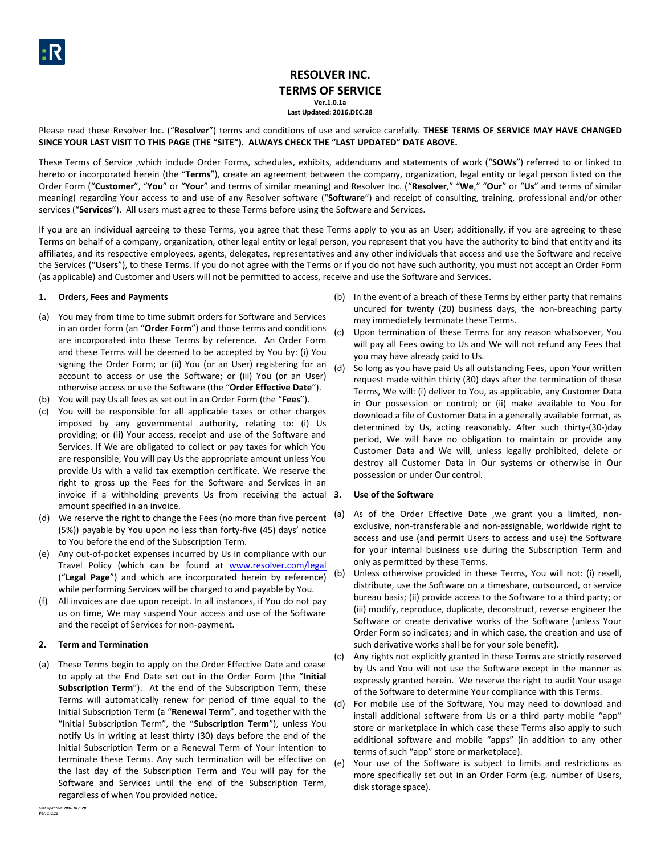# **RESOLVER INC. TERMS OF SERVICE Ver.1.0.1a**

**Last Updated: 2016.DEC.28**

Please read these Resolver Inc. ("**Resolver**") terms and conditions of use and service carefully. **THESE TERMS OF SERVICE MAY HAVE CHANGED SINCE YOUR LAST VISIT TO THIS PAGE (THE "SITE"). ALWAYS CHECK THE "LAST UPDATED" DATE ABOVE.**

These Terms of Service ,which include Order Forms, schedules, exhibits, addendums and statements of work ("**SOWs**") referred to or linked to hereto or incorporated herein (the "**Terms**"), create an agreement between the company, organization, legal entity or legal person listed on the Order Form ("**Customer**", "**You**" or "**Your**" and terms of similar meaning) and Resolver Inc. ("**Resolver**," "**We**," "**Our**" or "**Us**" and terms of similar meaning) regarding Your access to and use of any Resolver software ("**Software**") and receipt of consulting, training, professional and/or other services ("**Services**"). All users must agree to these Terms before using the Software and Services.

If you are an individual agreeing to these Terms, you agree that these Terms apply to you as an User; additionally, if you are agreeing to these Terms on behalf of a company, organization, other legal entity or legal person, you represent that you have the authority to bind that entity and its affiliates, and its respective employees, agents, delegates, representatives and any other individuals that access and use the Software and receive the Services ("**Users**"), to these Terms. If you do not agree with the Terms or if you do not have such authority, you must not accept an Order Form (as applicable) and Customer and Users will not be permitted to access, receive and use the Software and Services.

## **1. Orders, Fees and Payments**

- (a) You may from time to time submit orders for Software and Services in an order form (an "**Order Form**") and those terms and conditions are incorporated into these Terms by reference. An Order Form and these Terms will be deemed to be accepted by You by: (i) You signing the Order Form; or (ii) You (or an User) registering for an account to access or use the Software; or (iii) You (or an User) otherwise access or use the Software (the "**Order Effective Date**").
- (b) You will pay Us all fees as set out in an Order Form (the "**Fees**").
- (c) You will be responsible for all applicable taxes or other charges imposed by any governmental authority, relating to: (i) Us providing; or (ii) Your access, receipt and use of the Software and Services. If We are obligated to collect or pay taxes for which You are responsible, You will pay Us the appropriate amount unless You provide Us with a valid tax exemption certificate. We reserve the right to gross up the Fees for the Software and Services in an invoice if a withholding prevents Us from receiving the actual 3. amount specified in an invoice.
- (d) We reserve the right to change the Fees (no more than five percent (5%)) payable by You upon no less than forty-five (45) days' notice to You before the end of the Subscription Term.
- (e) Any out-of-pocket expenses incurred by Us in compliance with our Travel Policy (which can be found at [www.resolver.com/legal](http://www.resolver.com/legal) ("**Legal Page**") and which are incorporated herein by reference) while performing Services will be charged to and payable by You.
- (f) All invoices are due upon receipt. In all instances, if You do not pay us on time, We may suspend Your access and use of the Software and the receipt of Services for non-payment.

## **2. Term and Termination**

(a) These Terms begin to apply on the Order Effective Date and cease to apply at the End Date set out in the Order Form (the "**Initial Subscription Term**"). At the end of the Subscription Term, these Terms will automatically renew for period of time equal to the Initial Subscription Term (a "**Renewal Term**", and together with the "Initial Subscription Term", the "**Subscription Term**"), unless You notify Us in writing at least thirty (30) days before the end of the Initial Subscription Term or a Renewal Term of Your intention to terminate these Terms. Any such termination will be effective on the last day of the Subscription Term and You will pay for the Software and Services until the end of the Subscription Term, regardless of when You provided notice.

- (b) In the event of a breach of these Terms by either party that remains uncured for twenty (20) business days, the non-breaching party may immediately terminate these Terms.
- (c) Upon termination of these Terms for any reason whatsoever, You will pay all Fees owing to Us and We will not refund any Fees that you may have already paid to Us.
- (d) So long as you have paid Us all outstanding Fees, upon Your written request made within thirty (30) days after the termination of these Terms, We will: (i) deliver to You, as applicable, any Customer Data in Our possession or control; or (ii) make available to You for download a file of Customer Data in a generally available format, as determined by Us, acting reasonably. After such thirty-(30-)day period, We will have no obligation to maintain or provide any Customer Data and We will, unless legally prohibited, delete or destroy all Customer Data in Our systems or otherwise in Our possession or under Our control.

## **3. Use of the Software**

- (a) As of the Order Effective Date ,we grant you a limited, nonexclusive, non-transferable and non-assignable, worldwide right to access and use (and permit Users to access and use) the Software for your internal business use during the Subscription Term and only as permitted by these Terms.
- (b) Unless otherwise provided in these Terms, You will not: (i) resell, distribute, use the Software on a timeshare, outsourced, or service bureau basis; (ii) provide access to the Software to a third party; or (iii) modify, reproduce, duplicate, deconstruct, reverse engineer the Software or create derivative works of the Software (unless Your Order Form so indicates; and in which case, the creation and use of such derivative works shall be for your sole benefit).
- (c) Any rights not explicitly granted in these Terms are strictly reserved by Us and You will not use the Software except in the manner as expressly granted herein. We reserve the right to audit Your usage of the Software to determine Your compliance with this Terms.
- (d) For mobile use of the Software, You may need to download and install additional software from Us or a third party mobile "app" store or marketplace in which case these Terms also apply to such additional software and mobile "apps" (in addition to any other terms of such "app" store or marketplace).
- (e) Your use of the Software is subject to limits and restrictions as more specifically set out in an Order Form (e.g. number of Users, disk storage space).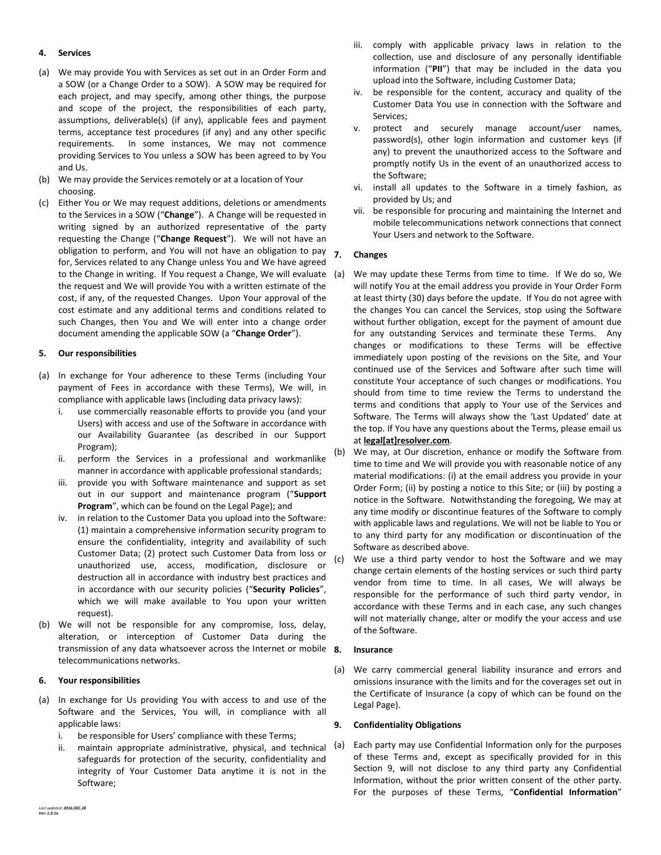## **4. Services**

- (a) We may provide You with Services as set out in an Order Form and a SOW (or a Change Order to a SOW). A SOW may be required for each project, and may specify, among other things, the purpose and scope of the project, the responsibilities of each party, assumptions, deliverable(s) (if any), applicable fees and payment terms, acceptance test procedures (if any) and any other specific requirements. In some instances, We may not commence providing Services to You unless a SOW has been agreed to by You and Us.
- (b) We may provide the Services remotely or at a location of Your choosing.
- (c) Either You or We may request additions, deletions or amendments to the Services in a SOW ("**Change**"). A Change will be requested in writing signed by an authorized representative of the party requesting the Change ("**Change Request**"). We will not have an obligation to perform, and You will not have an obligation to pay for, Services related to any Change unless You and We have agreed to the Change in writing. If You request a Change, We will evaluate the request and We will provide You with a written estimate of the cost, if any, of the requested Changes. Upon Your approval of the cost estimate and any additional terms and conditions related to such Changes, then You and We will enter into a change order document amending the applicable SOW (a "**Change Order**").

## **5. Our responsibilities**

- (a) In exchange for Your adherence to these Terms (including Your payment of Fees in accordance with these Terms), We will, in compliance with applicable laws (including data privacy laws):
	- i. use commercially reasonable efforts to provide you (and your Users) with access and use of the Software in accordance with our Availability Guarantee (as described in our Support Program);
	- ii. perform the Services in a professional and workmanlike manner in accordance with applicable professional standards;
	- iii. provide you with Software maintenance and support as set out in our support and maintenance program ("**Support Program**", which can be found on the Legal Page); and
	- iv. in relation to the Customer Data you upload into the Software: (1) maintain a comprehensive information security program to ensure the confidentiality, integrity and availability of such Customer Data; (2) protect such Customer Data from loss or unauthorized use, access, modification, disclosure or destruction all in accordance with industry best practices and in accordance with our security policies ("**Security Policies**", which we will make available to You upon your written request).
- (b) We will not be responsible for any compromise, loss, delay, alteration, or interception of Customer Data during the transmission of any data whatsoever across the Internet or mobile 8. telecommunications networks.

## **6. Your responsibilities**

- (a) In exchange for Us providing You with access to and use of the Software and the Services, You will, in compliance with all applicable laws:
	- i. be responsible for Users' compliance with these Terms;
	- ii. maintain appropriate administrative, physical, and technical (a) safeguards for protection of the security, confidentiality and integrity of Your Customer Data anytime it is not in the Software;
- iii. comply with applicable privacy laws in relation to the collection, use and disclosure of any personally identifiable information ("**PII**") that may be included in the data you upload into the Software, including Customer Data;
- iv. be responsible for the content, accuracy and quality of the Customer Data You use in connection with the Software and Services;
- v. protect and securely manage account/user names, password(s), other login information and customer keys (if any) to prevent the unauthorized access to the Software and promptly notify Us in the event of an unauthorized access to the Software;
- vi. install all updates to the Software in a timely fashion, as provided by Us; and
- vii. be responsible for procuring and maintaining the Internet and mobile telecommunications network connections that connect Your Users and network to the Software.

## **7. Changes**

- We may update these Terms from time to time. If We do so, We will notify You at the email address you provide in Your Order Form at least thirty (30) days before the update. If You do not agree with the changes You can cancel the Services, stop using the Software without further obligation, except for the payment of amount due for any outstanding Services and terminate these Terms. Any changes or modifications to these Terms will be effective immediately upon posting of the revisions on the Site, and Your continued use of the Services and Software after such time will constitute Your acceptance of such changes or modifications. You should from time to time review the Terms to understand the terms and conditions that apply to Your use of the Services and Software. The Terms will always show the 'Last Updated' date at the top. If You have any questions about the Terms, please email us at **legal[at]resolver.com**.
- (b) We may, at Our discretion, enhance or modify the Software from time to time and We will provide you with reasonable notice of any material modifications: (i) at the email address you provide in your Order Form; (ii) by posting a notice to this Site; or (iii) by posting a notice in the Software. Notwithstanding the foregoing, We may at any time modify or discontinue features of the Software to comply with applicable laws and regulations. We will not be liable to You or to any third party for any modification or discontinuation of the Software as described above.
- (c) We use a third party vendor to host the Software and we may change certain elements of the hosting services or such third party vendor from time to time. In all cases, We will always be responsible for the performance of such third party vendor, in accordance with these Terms and in each case, any such changes will not materially change, alter or modify the your access and use of the Software.

## **8. Insurance**

(a) We carry commercial general liability insurance and errors and omissions insurance with the limits and for the coverages set out in the Certificate of Insurance (a copy of which can be found on the Legal Page).

## <span id="page-1-0"></span>**9. Confidentiality Obligations**

Each party may use Confidential Information only for the purposes of these Terms and, except as specifically provided for in this Section [9,](#page-1-0) will not disclose to any third party any Confidential Information, without the prior written consent of the other party. For the purposes of these Terms, "**Confidential Information**"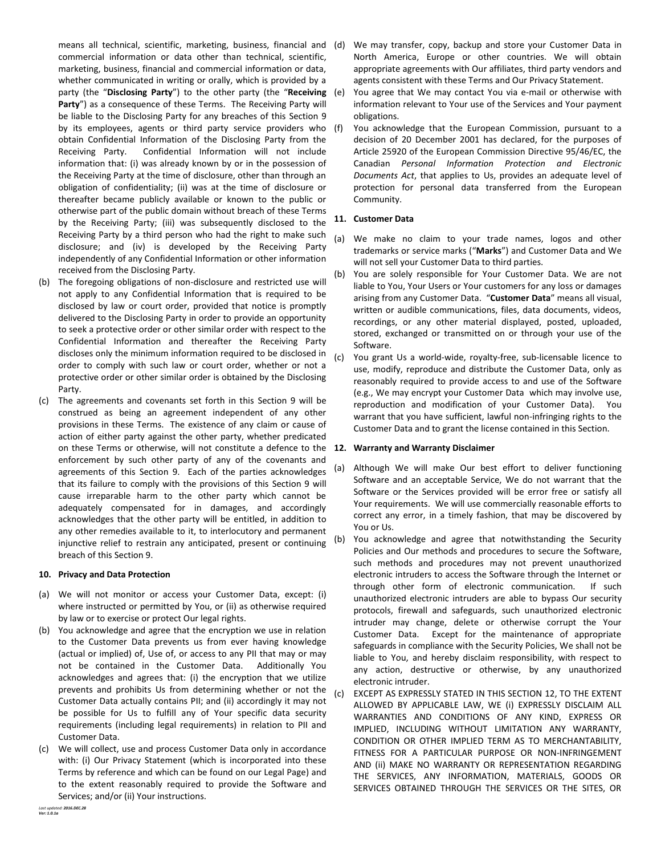means all technical, scientific, marketing, business, financial and (d) commercial information or data other than technical, scientific, marketing, business, financial and commercial information or data, whether communicated in writing or orally, which is provided by a party (the "**Disclosing Party**") to the other party (the "**Receiving**  Party") as a consequence of these Terms. The Receiving Party will be liable to the Disclosing Party for any breaches of this Section [9](#page-1-0) by its employees, agents or third party service providers who (f) obtain Confidential Information of the Disclosing Party from the Receiving Party. Confidential Information will not include information that: (i) was already known by or in the possession of the Receiving Party at the time of disclosure, other than through an obligation of confidentiality; (ii) was at the time of disclosure or thereafter became publicly available or known to the public or otherwise part of the public domain without breach of these Terms by the Receiving Party; (iii) was subsequently disclosed to the Receiving Party by a third person who had the right to make such disclosure; and (iv) is developed by the Receiving Party independently of any Confidential Information or other information received from the Disclosing Party.

- (b) The foregoing obligations of non-disclosure and restricted use will not apply to any Confidential Information that is required to be disclosed by law or court order, provided that notice is promptly delivered to the Disclosing Party in order to provide an opportunity to seek a protective order or other similar order with respect to the Confidential Information and thereafter the Receiving Party discloses only the minimum information required to be disclosed in order to comply with such law or court order, whether or not a protective order or other similar order is obtained by the Disclosing Party.
- (c) The agreements and covenants set forth in this Section [9](#page-1-0) will be construed as being an agreement independent of any other provisions in these Terms. The existence of any claim or cause of action of either party against the other party, whether predicated on these Terms or otherwise, will not constitute a defence to the **12. Warranty and Warranty Disclaimer** enforcement by such other party of any of the covenants and agreements of this Section [9.](#page-1-0) Each of the parties acknowledges that its failure to comply with the provisions of this Section [9](#page-1-0) will cause irreparable harm to the other party which cannot be adequately compensated for in damages, and accordingly acknowledges that the other party will be entitled, in addition to any other remedies available to it, to interlocutory and permanent injunctive relief to restrain any anticipated, present or continuing breach of this Sectio[n 9.](#page-1-0)

## **10. Privacy and Data Protection**

- (a) We will not monitor or access your Customer Data, except: (i) where instructed or permitted by You, or (ii) as otherwise required by law or to exercise or protect Our legal rights.
- (b) You acknowledge and agree that the encryption we use in relation to the Customer Data prevents us from ever having knowledge (actual or implied) of, Use of, or access to any PII that may or may not be contained in the Customer Data. Additionally You acknowledges and agrees that: (i) the encryption that we utilize prevents and prohibits Us from determining whether or not the Customer Data actually contains PII; and (ii) accordingly it may not be possible for Us to fulfill any of Your specific data security requirements (including legal requirements) in relation to PII and Customer Data.
- (c) We will collect, use and process Customer Data only in accordance with: (i) Our Privacy Statement (which is incorporated into these Terms by reference and which can be found on our Legal Page) and to the extent reasonably required to provide the Software and Services; and/or (ii) Your instructions.
- We may transfer, copy, backup and store your Customer Data in North America, Europe or other countries. We will obtain appropriate agreements with Our affiliates, third party vendors and agents consistent with these Terms and Our Privacy Statement.
- You agree that We may contact You via e-mail or otherwise with information relevant to Your use of the Services and Your payment obligations.
- You acknowledge that the European Commission, pursuant to a decision of 20 December 2001 has declared, for the purposes of Article 25920 of the European Commission Directive 95/46/EC, the Canadian *Personal Information Protection and Electronic Documents Act*, that applies to Us, provides an adequate level of protection for personal data transferred from the European Community.

## **11. Customer Data**

- (a) We make no claim to your trade names, logos and other trademarks or service marks ("**Marks**") and Customer Data and We will not sell your Customer Data to third parties.
- (b) You are solely responsible for Your Customer Data. We are not liable to You, Your Users or Your customers for any loss or damages arising from any Customer Data. "**Customer Data**" means all visual, written or audible communications, files, data documents, videos, recordings, or any other material displayed, posted, uploaded, stored, exchanged or transmitted on or through your use of the Software.
- (c) You grant Us a world-wide, royalty-free, sub-licensable licence to use, modify, reproduce and distribute the Customer Data, only as reasonably required to provide access to and use of the Software (e.g., We may encrypt your Customer Data which may involve use, reproduction and modification of your Customer Data). You warrant that you have sufficient, lawful non-infringing rights to the Customer Data and to grant the license contained in this Section.

- <span id="page-2-0"></span>(a) Although We will make Our best effort to deliver functioning Software and an acceptable Service, We do not warrant that the Software or the Services provided will be error free or satisfy all Your requirements. We will use commercially reasonable efforts to correct any error, in a timely fashion, that may be discovered by You or Us.
- (b) You acknowledge and agree that notwithstanding the Security Policies and Our methods and procedures to secure the Software, such methods and procedures may not prevent unauthorized electronic intruders to access the Software through the Internet or through other form of electronic communication. If such unauthorized electronic intruders are able to bypass Our security protocols, firewall and safeguards, such unauthorized electronic intruder may change, delete or otherwise corrupt the Your Customer Data. Except for the maintenance of appropriate safeguards in compliance with the Security Policies, We shall not be liable to You, and hereby disclaim responsibility, with respect to any action, destructive or otherwise, by any unauthorized electronic intruder.
- (c) EXCEPT AS EXPRESSLY STATED IN THIS SECTIO[N 12,](#page-2-0) TO THE EXTENT ALLOWED BY APPLICABLE LAW, WE (i) EXPRESSLY DISCLAIM ALL WARRANTIES AND CONDITIONS OF ANY KIND, EXPRESS OR IMPLIED, INCLUDING WITHOUT LIMITATION ANY WARRANTY, CONDITION OR OTHER IMPLIED TERM AS TO MERCHANTABILITY, FITNESS FOR A PARTICULAR PURPOSE OR NON-INFRINGEMENT AND (ii) MAKE NO WARRANTY OR REPRESENTATION REGARDING THE SERVICES, ANY INFORMATION, MATERIALS, GOODS OR SERVICES OBTAINED THROUGH THE SERVICES OR THE SITES, OR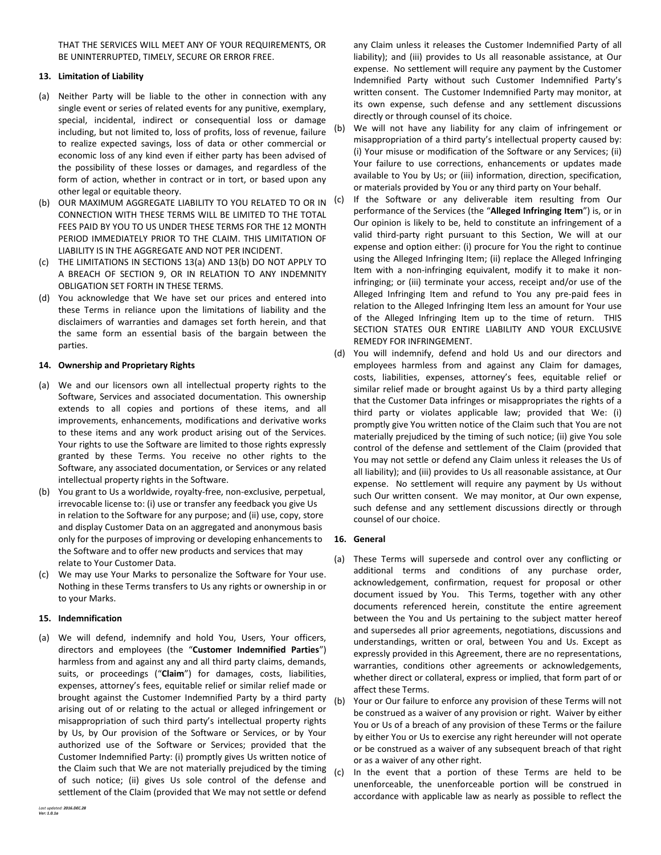THAT THE SERVICES WILL MEET ANY OF YOUR REQUIREMENTS, OR BE UNINTERRUPTED, TIMELY, SECURE OR ERROR FREE.

## **13. Limitation of Liability**

- <span id="page-3-0"></span>(a) Neither Party will be liable to the other in connection with any single event or series of related events for any punitive, exemplary, special, incidental, indirect or consequential loss or damage including, but not limited to, loss of profits, loss of revenue, failure to realize expected savings, loss of data or other commercial or economic loss of any kind even if either party has been advised of the possibility of these losses or damages, and regardless of the form of action, whether in contract or in tort, or based upon any other legal or equitable theory.
- <span id="page-3-1"></span>(b) OUR MAXIMUM AGGREGATE LIABILITY TO YOU RELATED TO OR IN CONNECTION WITH THESE TERMS WILL BE LIMITED TO THE TOTAL FEES PAID BY YOU TO US UNDER THESE TERMS FOR THE 12 MONTH PERIOD IMMEDIATELY PRIOR TO THE CLAIM. THIS LIMITATION OF LIABILITY IS IN THE AGGREGATE AND NOT PER INCIDENT.
- (c) THE LIMITATIONS IN SECTIONS [13\(a\)](#page-3-0) AND [13\(b\)](#page-3-1) DO NOT APPLY TO A BREACH OF SECTION [9,](#page-1-0) OR IN RELATION TO ANY INDEMNITY OBLIGATION SET FORTH IN THESE TERMS.
- (d) You acknowledge that We have set our prices and entered into these Terms in reliance upon the limitations of liability and the disclaimers of warranties and damages set forth herein, and that the same form an essential basis of the bargain between the parties.

## **14. Ownership and Proprietary Rights**

- (a) We and our licensors own all intellectual property rights to the Software, Services and associated documentation. This ownership extends to all copies and portions of these items, and all improvements, enhancements, modifications and derivative works to these items and any work product arising out of the Services. Your rights to use the Software are limited to those rights expressly granted by these Terms. You receive no other rights to the Software, any associated documentation, or Services or any related intellectual property rights in the Software.
- (b) You grant to Us a worldwide, royalty-free, non-exclusive, perpetual, irrevocable license to: (i) use or transfer any feedback you give Us in relation to the Software for any purpose; and (ii) use, copy, store and display Customer Data on an aggregated and anonymous basis only for the purposes of improving or developing enhancements to the Software and to offer new products and services that may relate to Your Customer Data.
- (c) We may use Your Marks to personalize the Software for Your use. Nothing in these Terms transfers to Us any rights or ownership in or to your Marks.

## **15. Indemnification**

(a) We will defend, indemnify and hold You, Users, Your officers, directors and employees (the "**Customer Indemnified Parties**") harmless from and against any and all third party claims, demands, suits, or proceedings ("**Claim**") for damages, costs, liabilities, expenses, attorney's fees, equitable relief or similar relief made or brought against the Customer Indemnified Party by a third party arising out of or relating to the actual or alleged infringement or misappropriation of such third party's intellectual property rights by Us, by Our provision of the Software or Services, or by Your authorized use of the Software or Services; provided that the Customer Indemnified Party: (i) promptly gives Us written notice of the Claim such that We are not materially prejudiced by the timing of such notice; (ii) gives Us sole control of the defense and settlement of the Claim (provided that We may not settle or defend

any Claim unless it releases the Customer Indemnified Party of all liability); and (iii) provides to Us all reasonable assistance, at Our expense. No settlement will require any payment by the Customer Indemnified Party without such Customer Indemnified Party's written consent. The Customer Indemnified Party may monitor, at its own expense, such defense and any settlement discussions directly or through counsel of its choice.

- (b) We will not have any liability for any claim of infringement or misappropriation of a third party's intellectual property caused by: (i) Your misuse or modification of the Software or any Services; (ii) Your failure to use corrections, enhancements or updates made available to You by Us; or (iii) information, direction, specification, or materials provided by You or any third party on Your behalf.
- (c) If the Software or any deliverable item resulting from Our performance of the Services (the "**Alleged Infringing Item**") is, or in Our opinion is likely to be, held to constitute an infringement of a valid third-party right pursuant to this Section, We will at our expense and option either: (i) procure for You the right to continue using the Alleged Infringing Item; (ii) replace the Alleged Infringing Item with a non-infringing equivalent, modify it to make it noninfringing; or (iii) terminate your access, receipt and/or use of the Alleged Infringing Item and refund to You any pre-paid fees in relation to the Alleged Infringing Item less an amount for Your use of the Alleged Infringing Item up to the time of return. THIS SECTION STATES OUR ENTIRE LIABILITY AND YOUR EXCLUSIVE REMEDY FOR INFRINGEMENT.
- (d) You will indemnify, defend and hold Us and our directors and employees harmless from and against any Claim for damages, costs, liabilities, expenses, attorney's fees, equitable relief or similar relief made or brought against Us by a third party alleging that the Customer Data infringes or misappropriates the rights of a third party or violates applicable law; provided that We: (i) promptly give You written notice of the Claim such that You are not materially prejudiced by the timing of such notice; (ii) give You sole control of the defense and settlement of the Claim (provided that You may not settle or defend any Claim unless it releases the Us of all liability); and (iii) provides to Us all reasonable assistance, at Our expense. No settlement will require any payment by Us without such Our written consent. We may monitor, at Our own expense, such defense and any settlement discussions directly or through counsel of our choice.

## **16. General**

- (a) These Terms will supersede and control over any conflicting or additional terms and conditions of any purchase order, acknowledgement, confirmation, request for proposal or other document issued by You. This Terms, together with any other documents referenced herein, constitute the entire agreement between the You and Us pertaining to the subject matter hereof and supersedes all prior agreements, negotiations, discussions and understandings, written or oral, between You and Us. Except as expressly provided in this Agreement, there are no representations, warranties, conditions other agreements or acknowledgements, whether direct or collateral, express or implied, that form part of or affect these Terms.
- (b) Your or Our failure to enforce any provision of these Terms will not be construed as a waiver of any provision or right. Waiver by either You or Us of a breach of any provision of these Terms or the failure by either You or Us to exercise any right hereunder will not operate or be construed as a waiver of any subsequent breach of that right or as a waiver of any other right.
- (c) In the event that a portion of these Terms are held to be unenforceable, the unenforceable portion will be construed in accordance with applicable law as nearly as possible to reflect the